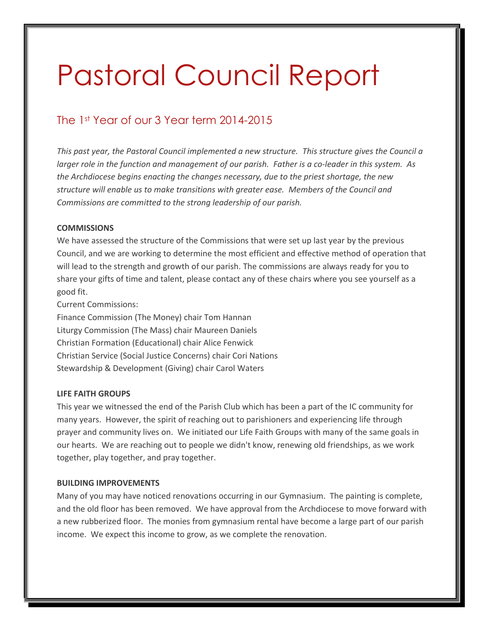# Pastoral Council Report

# The 1st Year of our 3 Year term 2014-2015

*This past year, the Pastoral Council implemented a new structure. This structure gives the Council a larger role in the function and management of our parish. Father is a co-leader in this system. As the Archdiocese begins enacting the changes necessary, due to the priest shortage, the new structure will enable us to make transitions with greater ease. Members of the Council and Commissions are committed to the strong leadership of our parish.*

## **COMMISSIONS**

We have assessed the structure of the Commissions that were set up last year by the previous Council, and we are working to determine the most efficient and effective method of operation that will lead to the strength and growth of our parish. The commissions are always ready for you to share your gifts of time and talent, please contact any of these chairs where you see yourself as a good fit.

Current Commissions:

Finance Commission (The Money) chair Tom Hannan Liturgy Commission (The Mass) chair Maureen Daniels Christian Formation (Educational) chair Alice Fenwick Christian Service (Social Justice Concerns) chair Cori Nations Stewardship & Development (Giving) chair Carol Waters

# **LIFE FAITH GROUPS**

This year we witnessed the end of the Parish Club which has been a part of the IC community for many years. However, the spirit of reaching out to parishioners and experiencing life through prayer and community lives on. We initiated our Life Faith Groups with many of the same goals in our hearts. We are reaching out to people we didn't know, renewing old friendships, as we work together, play together, and pray together.

### **BUILDING IMPROVEMENTS**

Many of you may have noticed renovations occurring in our Gymnasium. The painting is complete, and the old floor has been removed. We have approval from the Archdiocese to move forward with a new rubberized floor. The monies from gymnasium rental have become a large part of our parish income. We expect this income to grow, as we complete the renovation.